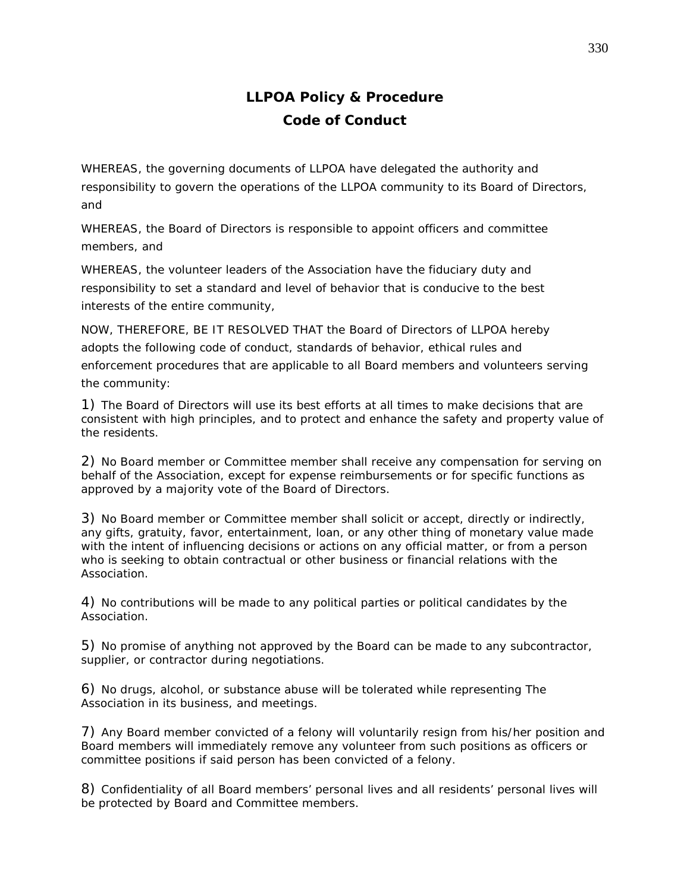## **LLPOA Policy & Procedure Code of Conduct**

WHEREAS, the governing documents of LLPOA have delegated the authority and responsibility to govern the operations of the LLPOA community to its Board of Directors, and

WHEREAS, the Board of Directors is responsible to appoint officers and committee members, and

WHEREAS, the volunteer leaders of the Association have the fiduciary duty and responsibility to set a standard and level of behavior that is conducive to the best interests of the entire community,

NOW, THEREFORE, BE IT RESOLVED THAT the Board of Directors of LLPOA hereby adopts the following code of conduct, standards of behavior, ethical rules and enforcement procedures that are applicable to all Board members and volunteers serving the community:

1) The Board of Directors will use its best efforts at all times to make decisions that are consistent with high principles, and to protect and enhance the safety and property value of the residents.

2) No Board member or Committee member shall receive any compensation for serving on behalf of the Association, except for expense reimbursements or for specific functions as approved by a majority vote of the Board of Directors.

3) No Board member or Committee member shall solicit or accept, directly or indirectly, any gifts, gratuity, favor, entertainment, loan, or any other thing of monetary value made with the intent of influencing decisions or actions on any official matter, or from a person who is seeking to obtain contractual or other business or financial relations with the Association.

4) No contributions will be made to any political parties or political candidates by the Association.

5) No promise of anything not approved by the Board can be made to any subcontractor, supplier, or contractor during negotiations.

6) No drugs, alcohol, or substance abuse will be tolerated while representing The Association in its business, and meetings.

7) Any Board member convicted of a felony will voluntarily resign from his/her position and Board members will immediately remove any volunteer from such positions as officers or committee positions if said person has been convicted of a felony.

8) Confidentiality of all Board members' personal lives and all residents' personal lives will be protected by Board and Committee members.